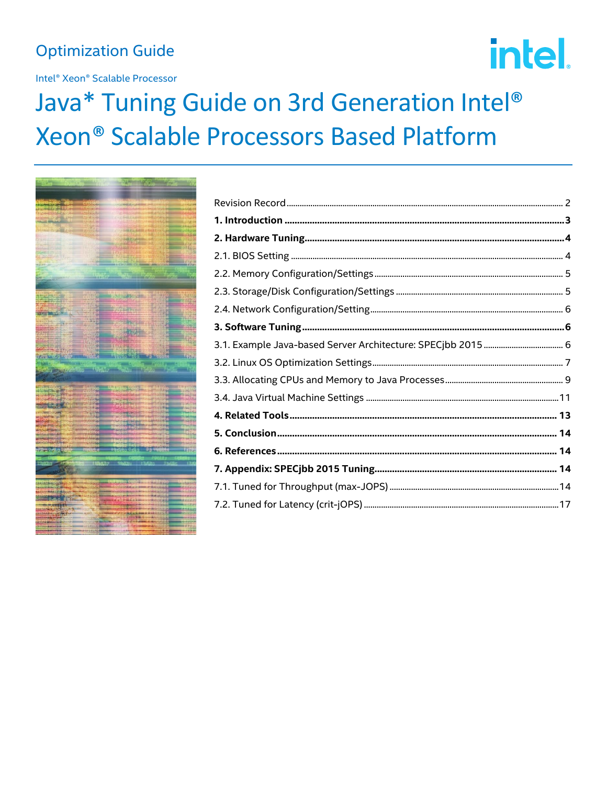# **Optimization Guide**

Intel® Xeon® Scalable Processor

# intel.

# Java\* Tuning Guide on 3rd Generation Intel® Xeon® Scalable Processors Based Platform

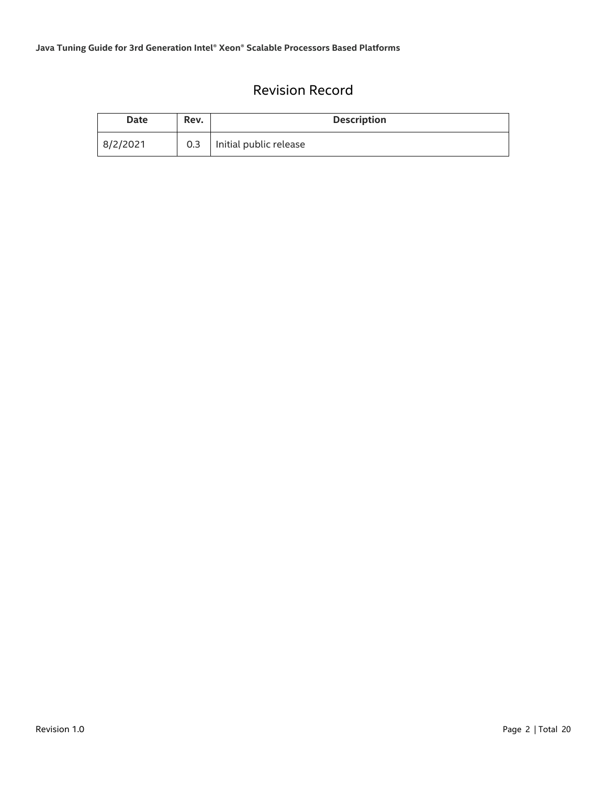# Revision Record

<span id="page-1-0"></span>

| <b>Date</b> | Rev.             | <b>Description</b>     |
|-------------|------------------|------------------------|
| 8/2/2021    | 0.3 <sub>2</sub> | Initial public release |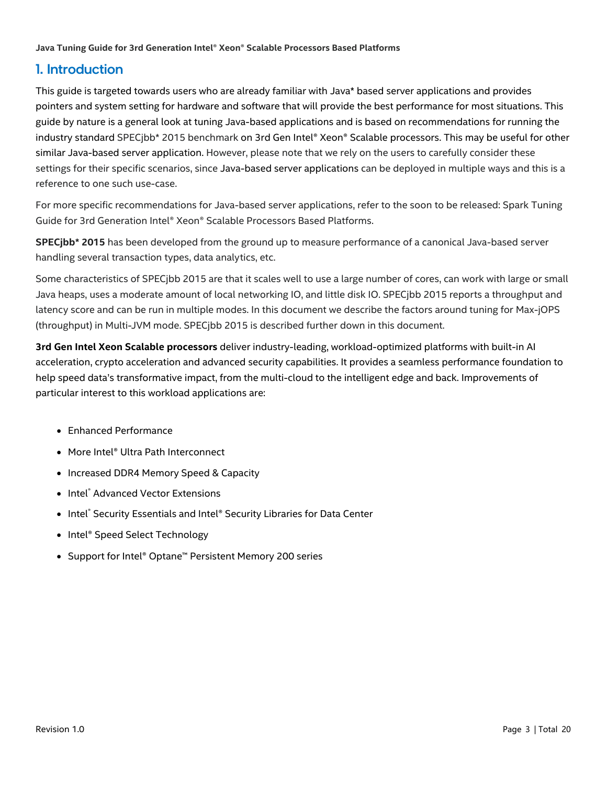# <span id="page-2-0"></span>1. Introduction

This guide is targeted towards users who are already familiar with Java\* based server applications and provides pointers and system setting for hardware and software that will provide the best performance for most situations. This guide by nature is a general look at tuning Java-based applications and is based on recommendations for running the industry standard SPECjbb\* 2015 benchmark on 3rd Gen Intel® Xeon® Scalable processors. This may be useful for other similar Java-based server application. However, please note that we rely on the users to carefully consider these settings for their specific scenarios, since Java-based server applications can be deployed in multiple ways and this is a reference to one such use-case.

For more specific recommendations for Java-based server applications, refer to the soon to be released: Spark Tuning Guide for 3rd Generation Intel® Xeon® Scalable Processors Based Platforms.

**SPECjbb\* 2015** has been developed from the ground up to measure performance of a canonical Java-based server handling several transaction types, data analytics, etc.

Some characteristics of SPECjbb 2015 are that it scales well to use a large number of cores, can work with large or small Java heaps, uses a moderate amount of local networking IO, and little disk IO. SPECjbb 2015 reports a throughput and latency score and can be run in multiple modes. In this document we describe the factors around tuning for Max-jOPS (throughput) in Multi-JVM mode. SPECjbb 2015 is described further down in this document.

**3rd Gen Intel Xeon Scalable processors** deliver industry-leading, workload-optimized platforms with built-in AI acceleration, crypto acceleration and advanced security capabilities. It provides a seamless performance foundation to help speed data's transformative impact, from the multi-cloud to the intelligent edge and back. Improvements of particular interest to this workload applications are:

- Enhanced Performance
- More Intel® Ultra Path Interconnect
- Increased DDR4 Memory Speed & Capacity
- Intel<sup>®</sup> Advanced Vector Extensions
- Intel® Security Essentials and Intel® Security Libraries for Data Center
- Intel<sup>®</sup> Speed Select Technology
- Support for Intel® Optane™ Persistent Memory 200 series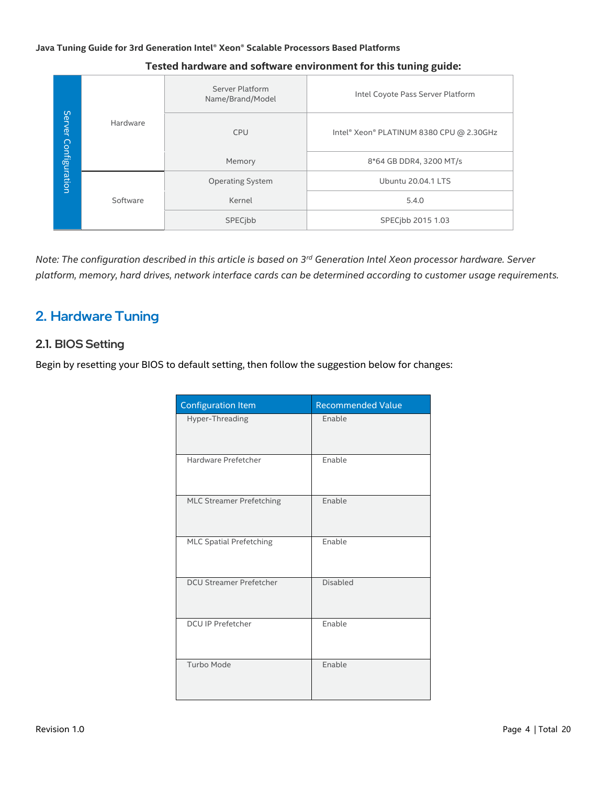|               |          | Server Platform<br>Name/Brand/Model | Intel Coyote Pass Server Platform        |
|---------------|----------|-------------------------------------|------------------------------------------|
| Server        | Hardware | <b>CPU</b>                          | Intel® Xeon® PLATINUM 8380 CPU @ 2.30GHz |
|               |          | Memory                              | 8*64 GB DDR4, 3200 MT/s                  |
| Configuration |          | <b>Operating System</b>             | <b>Ubuntu 20.04.1 LTS</b>                |
|               | Software | Kernel                              | 5.4.0                                    |
|               |          | SPECibb                             | SPECjbb 2015 1.03                        |

#### **Tested hardware and software environment for this tuning guide:**

*Note: The configuration described in this article is based on 3 rd Generation Intel Xeon processor hardware. Server platform, memory, hard drives, network interface cards can be determined according to customer usage requirements.*

# <span id="page-3-0"></span>2. Hardware Tuning

#### <span id="page-3-1"></span>2.1. BIOS Setting

Begin by resetting your BIOS to default setting, then follow the suggestion below for changes:

| <b>Configuration Item</b>       | <b>Recommended Value</b> |
|---------------------------------|--------------------------|
| Hyper-Threading                 | Enable                   |
| Hardware Prefetcher             | Enable                   |
| <b>MLC Streamer Prefetching</b> | Enable                   |
| <b>MLC Spatial Prefetching</b>  | Enable                   |
| <b>DCU Streamer Prefetcher</b>  | <b>Disabled</b>          |
| <b>DCU IP Prefetcher</b>        | Enable                   |
| Turbo Mode                      | Enable                   |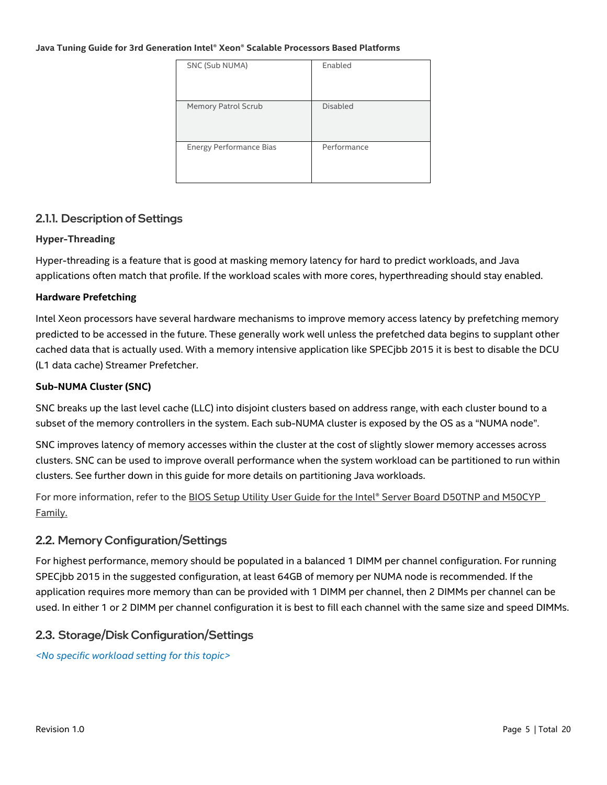| SNC (Sub NUMA)                 | Enabled         |
|--------------------------------|-----------------|
| Memory Patrol Scrub            | <b>Disabled</b> |
| <b>Energy Performance Bias</b> | Performance     |

#### 2.1.1. Description of Settings

#### **Hyper-Threading**

Hyper-threading is a feature that is good at masking memory latency for hard to predict workloads, and Java applications often match that profile. If the workload scales with more cores, hyperthreading should stay enabled.

#### **Hardware Prefetching**

Intel Xeon processors have several hardware mechanisms to improve memory access latency by prefetching memory predicted to be accessed in the future. These generally work well unless the prefetched data begins to supplant other cached data that is actually used. With a memory intensive application like SPECjbb 2015 it is best to disable the DCU (L1 data cache) Streamer Prefetcher.

#### <span id="page-4-2"></span>**Sub-NUMA Cluster (SNC)**

SNC breaks up the last level cache (LLC) into disjoint clusters based on address range, with each cluster bound to a subset of the memory controllers in the system. Each sub-NUMA cluster is exposed by the OS as a "NUMA node".

SNC improves latency of memory accesses within the cluster at the cost of slightly slower memory accesses across clusters. SNC can be used to improve overall performance when the system workload can be partitioned to run within clusters. See further down in this guide for more details on partitioning Java workloads.

For more information, refer to the BIOS Setup Utility User Guide for the Intel® Server Board D50TNP and M50CYP [Family.](https://www.intel.com/content/www/us/en/support/articles/000058939/server-products/single-node-servers.html)

#### <span id="page-4-0"></span>2.2. Memory Configuration/Settings

For highest performance, memory should be populated in a balanced 1 DIMM per channel configuration. For running SPECjbb 2015 in the suggested configuration, at least 64GB of memory per NUMA node is recommended. If the application requires more memory than can be provided with 1 DIMM per channel, then 2 DIMMs per channel can be used. In either 1 or 2 DIMM per channel configuration it is best to fill each channel with the same size and speed DIMMs.

#### <span id="page-4-1"></span>2.3. Storage/Disk Configuration/Settings

*<No specific workload setting for this topic>*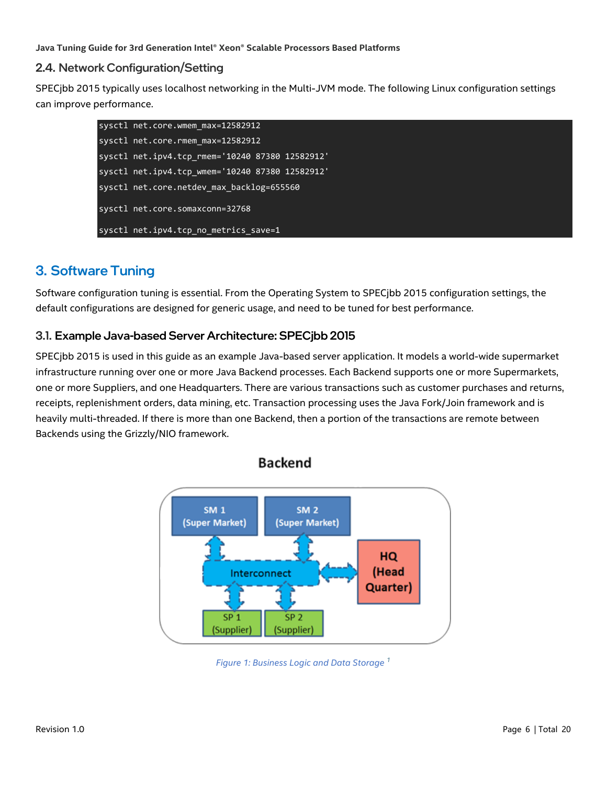#### <span id="page-5-0"></span>2.4. Network Configuration/Setting

SPECjbb 2015 typically uses localhost networking in the Multi-JVM mode. The following Linux configuration settings can improve performance.

| sysctl net.core.wmem_max=12582912               |  |
|-------------------------------------------------|--|
| sysctl net.core.rmem max=12582912               |  |
| sysctl net.ipv4.tcp_rmem='10240 87380 12582912' |  |
| sysctl net.ipv4.tcp_wmem='10240 87380 12582912' |  |
| sysctl net.core.netdev max backlog=655560       |  |
| sysctl net.core.somaxconn=32768                 |  |
| sysctl net.ipv4.tcp no metrics save=1           |  |

# <span id="page-5-1"></span>3. Software Tuning

Software configuration tuning is essential. From the Operating System to SPECjbb 2015 configuration settings, the default configurations are designed for generic usage, and need to be tuned for best performance.

#### <span id="page-5-2"></span>3.1. Example Java-based Server Architecture: SPECjbb 2015

SPECjbb 2015 is used in this guide as an example Java-based server application. It models a world-wide supermarket infrastructure running over one or more Java Backend processes. Each Backend supports one or more Supermarkets, one or more Suppliers, and one Headquarters. There are various transactions such as customer purchases and returns, receipts, replenishment orders, data mining, etc. Transaction processing uses the Java Fork/Join framework and is heavily multi-threaded. If there is more than one Backend, then a portion of the transactions are remote between Backends using the Grizzly/NIO framework.

**Backend** 



*Figure 1: Business Logic and Data Storage [1](https://www.spec.org/jbb2015/docs/designdocument.pdf)*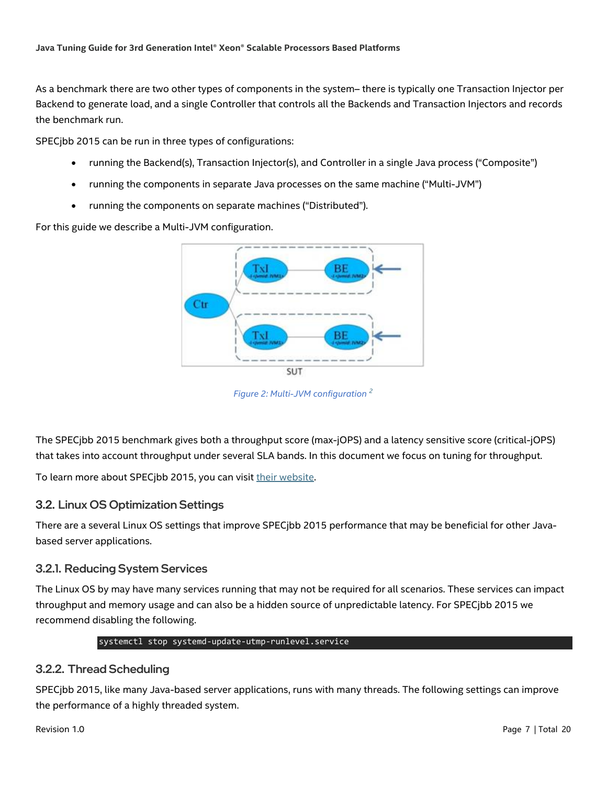As a benchmark there are two other types of components in the system– there is typically one Transaction Injector per Backend to generate load, and a single Controller that controls all the Backends and Transaction Injectors and records the benchmark run.

SPECjbb 2015 can be run in three types of configurations:

- running the Backend(s), Transaction Injector(s), and Controller in a single Java process ("Composite")
- running the components in separate Java processes on the same machine ("Multi-JVM")
- running the components on separate machines ("Distributed").

For this guide we describe a Multi-JVM configuration.



*Figure 2: Multi-JVM configuration [2](https://www.spec.org/jbb2015/docs/userguide.pdf)*

The SPECjbb 2015 benchmark gives both a throughput score (max-jOPS) and a latency sensitive score (critical-jOPS) that takes into account throughput under several SLA bands. In this document we focus on tuning for throughput.

To learn more about SPECjbb 2015, you can visi[t their website.](https://www.spec.org/jbb2015/)

#### <span id="page-6-0"></span>3.2. Linux OS Optimization Settings

There are a several Linux OS settings that improve SPECjbb 2015 performance that may be beneficial for other Javabased server applications.

#### 3.2.1. Reducing System Services

The Linux OS by may have many services running that may not be required for all scenarios. These services can impact throughput and memory usage and can also be a hidden source of unpredictable latency. For SPECjbb 2015 we recommend disabling the following.

#### systemctl stop systemd-update-utmp-runlevel.service

#### 3.2.2. Thread Scheduling

SPECjbb 2015, like many Java-based server applications, runs with many threads. The following settings can improve the performance of a highly threaded system.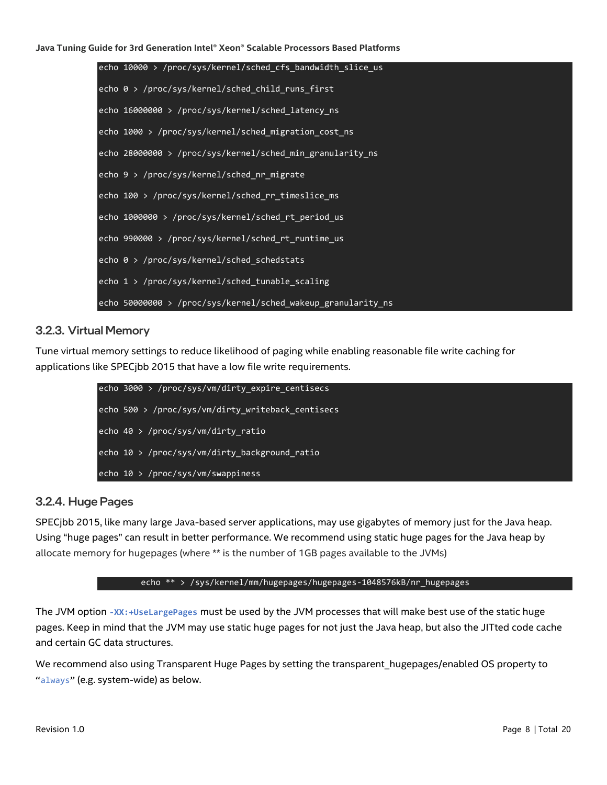| echo 10000 > /proc/sys/kernel/sched_cfs_bandwidth_slice_us   |
|--------------------------------------------------------------|
| echo 0 > /proc/sys/kernel/sched_child_runs_first             |
| echo 16000000 > /proc/sys/kernel/sched_latency_ns            |
| echo 1000 > /proc/sys/kernel/sched_migration_cost_ns         |
| echo 28000000 > /proc/sys/kernel/sched_min_granularity_ns    |
| echo 9 > /proc/sys/kernel/sched_nr_migrate                   |
| echo 100 > /proc/sys/kernel/sched_rr_timeslice_ms            |
| echo 1000000 > /proc/sys/kernel/sched_rt_period_us           |
| echo 990000 > /proc/sys/kernel/sched_rt_runtime_us           |
| echo 0 > /proc/sys/kernel/sched_schedstats                   |
| echo 1 > /proc/sys/kernel/sched_tunable_scaling              |
| echo 50000000 > /proc/sys/kernel/sched_wakeup_granularity_ns |

#### 3.2.3. Virtual Memory

Tune virtual memory settings to reduce likelihood of paging while enabling reasonable file write caching for applications like SPECjbb 2015 that have a low file write requirements.

| echo 3000 > /proc/sys/vm/dirty expire centisecs   |
|---------------------------------------------------|
| echo 500 > /proc/sys/vm/dirty writeback centisecs |
| echo 40 > /proc/sys/vm/dirty ratio                |
| echo $10$ > /proc/sys/vm/dirty background ratio   |
| echo $10$ > /proc/sys/vm/swappiness               |

#### <span id="page-7-0"></span>3.2.4. Huge Pages

SPECjbb 2015, like many large Java-based server applications, may use gigabytes of memory just for the Java heap. Using "huge pages" can result in better performance. We recommend using static huge pages for the Java heap by allocate memory for hugepages (where \*\* is the number of 1GB pages available to the JVMs)

#### echo \*\* > /sys/kernel/mm/hugepages/hugepages-1048576kB/nr\_hugepages

The JVM option **-XX:+UseLargePages** must be used by the JVM processes that will make best use of the static huge pages. Keep in mind that the JVM may use static huge pages for not just the Java heap, but also the JITted code cache and certain GC data structures.

We recommend also using Transparent Huge Pages by setting the transparent\_hugepages/enabled OS property to "always" (e.g. system-wide) as below.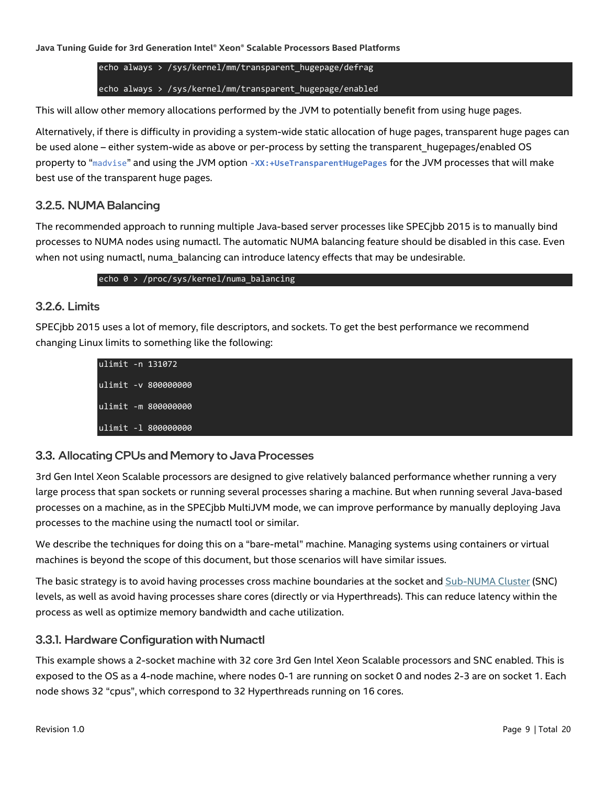echo always > /sys/kernel/mm/transparent\_hugepage/defrag echo always > /sys/kernel/mm/transparent\_hugepage/enabled

This will allow other memory allocations performed by the JVM to potentially benefit from using huge pages.

Alternatively, if there is difficulty in providing a system-wide static allocation of huge pages, transparent huge pages can be used alone – either system-wide as above or per-process by setting the transparent\_hugepages/enabled OS property to "madvise" and using the JVM option **-XX:+UseTransparentHugePages** for the JVM processes that will make best use of the transparent huge pages.

#### 3.2.5. NUMA Balancing

The recommended approach to running multiple Java-based server processes like SPECjbb 2015 is to manually bind processes to NUMA nodes using numactl. The automatic NUMA balancing feature should be disabled in this case. Even when not using numactl, numa balancing can introduce latency effects that may be undesirable.

echo 0 > /proc/sys/kernel/numa\_balancing

#### 3.2.6. Limits

SPECjbb 2015 uses a lot of memory, file descriptors, and sockets. To get the best performance we recommend changing Linux limits to something like the following:

| ulimit -n 131072    |  |
|---------------------|--|
| ulimit -v 800000000 |  |
| ulimit -m 800000000 |  |
| ulimit -1 800000000 |  |

#### <span id="page-8-0"></span>3.3. Allocating CPUs and Memory to Java Processes

3rd Gen Intel Xeon Scalable processors are designed to give relatively balanced performance whether running a very large process that span sockets or running several processes sharing a machine. But when running several Java-based processes on a machine, as in the SPECjbb MultiJVM mode, we can improve performance by manually deploying Java processes to the machine using the numactl tool or similar.

We describe the techniques for doing this on a "bare-metal" machine. Managing systems using containers or virtual machines is beyond the scope of this document, but those scenarios will have similar issues.

The basic strategy is to avoid having processes cross machine boundaries at the socket an[d Sub-NUMA Cluster](#page-4-2) (SNC) levels, as well as avoid having processes share cores (directly or via Hyperthreads). This can reduce latency within the process as well as optimize memory bandwidth and cache utilization.

#### 3.3.1. Hardware Configuration with Numactl

This example shows a 2-socket machine with 32 core 3rd Gen Intel Xeon Scalable processors and SNC enabled. This is exposed to the OS as a 4-node machine, where nodes 0-1 are running on socket 0 and nodes 2-3 are on socket 1. Each node shows 32 "cpus", which correspond to 32 Hyperthreads running on 16 cores.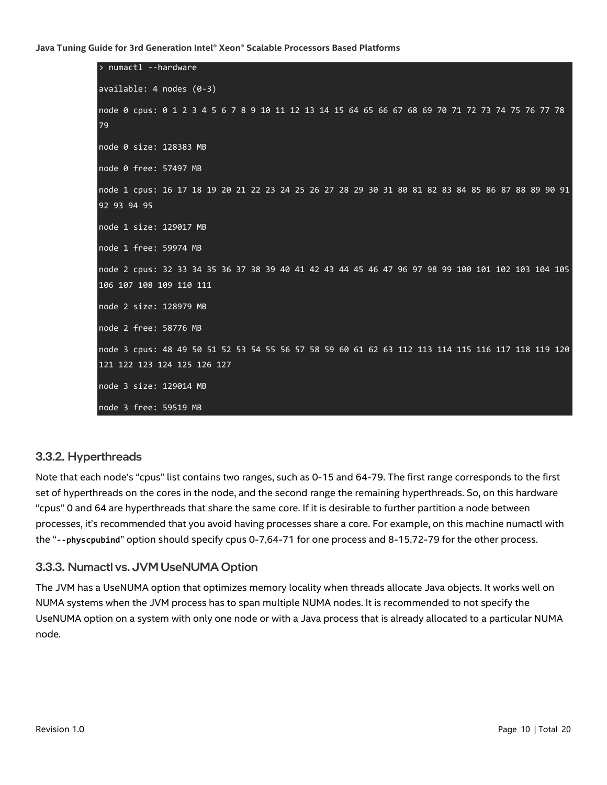```
> numactl --hardware
available: 4 nodes (0-3)
node 0 cpus: 0 1 2 3 4 5 6 7 8 9 10 11 12 13 14 15 64 65 66 67 68 69 70 71 72 73 74 75 76 77 78 
79
node 0 size: 128383 MB
node 0 free: 57497 MB
node 1 cpus: 16 17 18 19 20 21 22 23 24 25 26 27 28 29 30 31 80 81 82 83 84 85 86 87 88 89 90 91 
92 93 94 95
node 1 size: 129017 MB
node 1 free: 59974 MB
node 2 cpus: 32 33 34 35 36 37 38 39 40 41 42 43 44 45 46 47 96 97 98 99 100 101 102 103 104 105 
106 107 108 109 110 111
node 2 size: 128979 MB
node 2 free: 58776 MB
node 3 cpus: 48 49 50 51 52 53 54 55 56 57 58 59 60 61 62 63 112 113 114 115 116 117 118 119 120 
121 122 123 124 125 126 127
node 3 size: 129014 MB
node 3 free: 59519 MB
```
#### 3.3.2. Hyperthreads

Note that each node's "cpus" list contains two ranges, such as 0-15 and 64-79. The first range corresponds to the first set of hyperthreads on the cores in the node, and the second range the remaining hyperthreads. So, on this hardware "cpus" 0 and 64 are hyperthreads that share the same core. If it is desirable to further partition a node between processes, it's recommended that you avoid having processes share a core. For example, on this machine numactl with the "**--physcpubind**" option should specify cpus 0-7,64-71 for one process and 8-15,72-79 for the other process.

#### 3.3.3. Numactl vs. JVM UseNUMA Option

The JVM has a UseNUMA option that optimizes memory locality when threads allocate Java objects. It works well on NUMA systems when the JVM process has to span multiple NUMA nodes. It is recommended to not specify the UseNUMA option on a system with only one node or with a Java process that is already allocated to a particular NUMA node.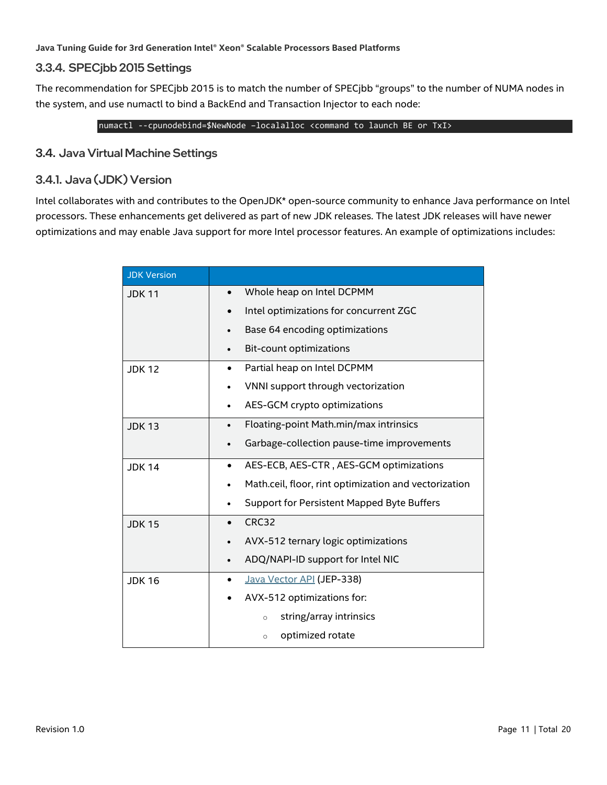#### 3.3.4. SPECjbb 2015 Settings

The recommendation for SPECjbb 2015 is to match the number of SPECjbb "groups" to the number of NUMA nodes in the system, and use numactl to bind a BackEnd and Transaction Injector to each node:

numactl --cpunodebind=\$NewNode –localalloc <command to launch BE or TxI>

#### <span id="page-10-0"></span>3.4. Java Virtual Machine Settings

#### 3.4.1. Java (JDK) Version

Intel collaborates with and contributes to the OpenJDK\* open-source community to enhance Java performance on Intel processors. These enhancements get delivered as part of new JDK releases. The latest JDK releases will have newer optimizations and may enable Java support for more Intel processor features. An example of optimizations includes:

| <b>JDK Version</b> |                                                       |
|--------------------|-------------------------------------------------------|
| <b>JDK11</b>       | Whole heap on Intel DCPMM                             |
|                    | Intel optimizations for concurrent ZGC<br>$\bullet$   |
|                    | Base 64 encoding optimizations                        |
|                    | Bit-count optimizations<br>٠                          |
| <b>JDK12</b>       | Partial heap on Intel DCPMM<br>$\bullet$              |
|                    | VNNI support through vectorization                    |
|                    | AES-GCM crypto optimizations                          |
| <b>JDK 13</b>      | Floating-point Math.min/max intrinsics<br>$\bullet$   |
|                    | Garbage-collection pause-time improvements            |
| <b>JDK14</b>       | AES-ECB, AES-CTR, AES-GCM optimizations<br>$\bullet$  |
|                    | Math.ceil, floor, rint optimization and vectorization |
|                    | Support for Persistent Mapped Byte Buffers            |
| <b>JDK15</b>       | CRC32<br>$\bullet$                                    |
|                    | AVX-512 ternary logic optimizations                   |
|                    | ADQ/NAPI-ID support for Intel NIC<br>$\bullet$        |
| <b>JDK16</b>       | Java Vector API (JEP-338)                             |
|                    | AVX-512 optimizations for:                            |
|                    | string/array intrinsics<br>$\circ$                    |
|                    | optimized rotate<br>$\circ$                           |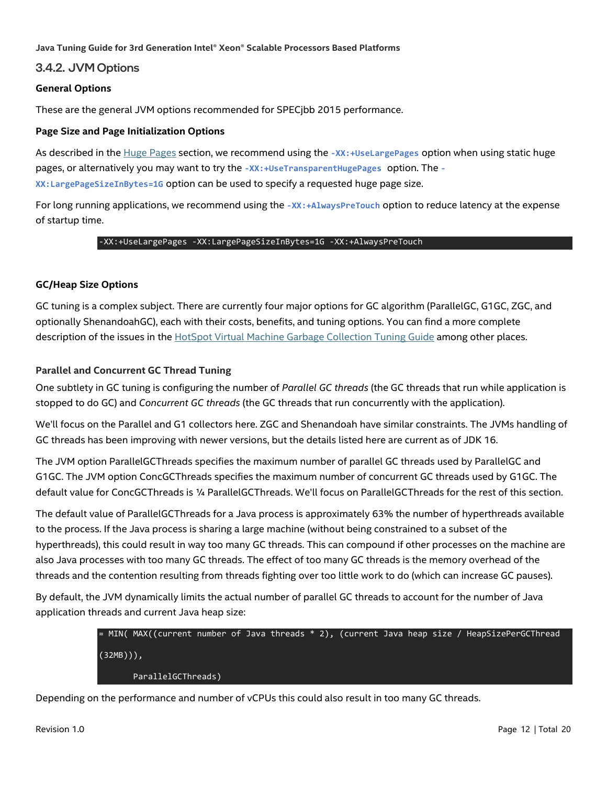#### 3.4.2. JVM Options

#### **General Options**

These are the general JVM options recommended for SPECjbb 2015 performance.

#### **Page Size and Page Initialization Options**

As described in the [Huge Pages](#page-7-0) section, we recommend using the **-XX:+UseLargePages** option when using static huge pages, or alternatively you may want to try the **-XX:+UseTransparentHugePages** option. The **- XX:LargePageSizeInBytes=1G** option can be used to specify a requested huge page size.

For long running applications, we recommend using the **-XX:+AlwaysPreTouch** option to reduce latency at the expense of startup time.

#### -XX:+UseLargePages -XX:LargePageSizeInBytes=1G -XX:+AlwaysPreTouch

#### **GC/Heap Size Options**

GC tuning is a complex subject. There are currently four major options for GC algorithm (ParallelGC, G1GC, ZGC, and optionally ShenandoahGC), each with their costs, benefits, and tuning options. You can find a more complete description of the issues in the [HotSpot Virtual Machine Garbage Collection Tuning Guide](https://docs.oracle.com/en/java/javase/16/gctuning/introduction-garbage-collection-tuning.html#GUID-326EB4CF-8C8C-4267-8355-21AB04F0D304) among other places.

#### **Parallel and Concurrent GC Thread Tuning**

One subtlety in GC tuning is configuring the number of *Parallel GC threads* (the GC threads that run while application is stopped to do GC) and *Concurrent GC threads* (the GC threads that run concurrently with the application).

We'll focus on the Parallel and G1 collectors here. ZGC and Shenandoah have similar constraints. The JVMs handling of GC threads has been improving with newer versions, but the details listed here are current as of JDK 16.

The JVM option ParallelGCThreads specifies the maximum number of parallel GC threads used by ParallelGC and G1GC. The JVM option ConcGCThreads specifies the maximum number of concurrent GC threads used by G1GC. The default value for ConcGCThreads is ¼ ParallelGCThreads. We'll focus on ParallelGCThreads for the rest of this section.

The default value of ParallelGCThreads for a Java process is approximately 63% the number of hyperthreads available to the process. If the Java process is sharing a large machine (without being constrained to a subset of the hyperthreads), this could result in way too many GC threads. This can compound if other processes on the machine are also Java processes with too many GC threads. The effect of too many GC threads is the memory overhead of the threads and the contention resulting from threads fighting over too little work to do (which can increase GC pauses).

By default, the JVM dynamically limits the actual number of parallel GC threads to account for the number of Java application threads and current Java heap size:



Depending on the performance and number of vCPUs this could also result in too many GC threads.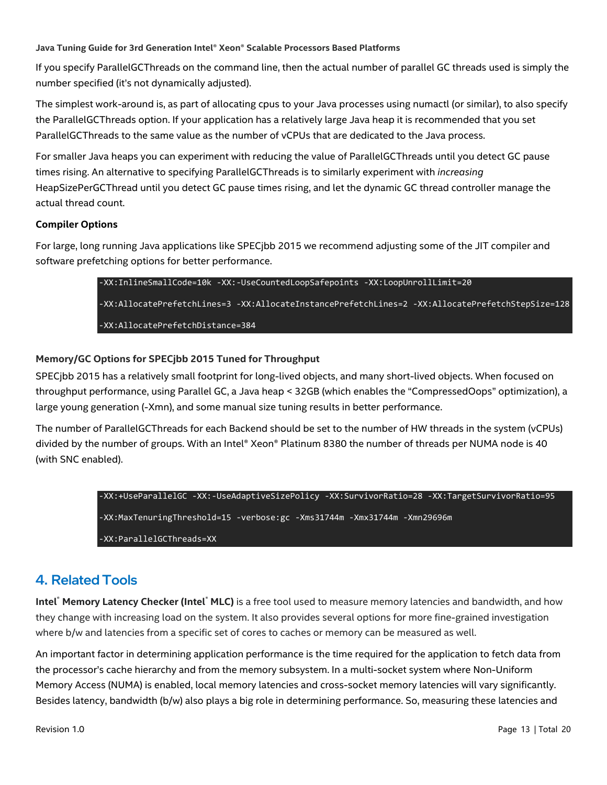If you specify ParallelGCThreads on the command line, then the actual number of parallel GC threads used is simply the number specified (it's not dynamically adjusted).

The simplest work-around is, as part of allocating cpus to your Java processes using numactl (or similar), to also specify the ParallelGCThreads option. If your application has a relatively large Java heap it is recommended that you set ParallelGCThreads to the same value as the number of vCPUs that are dedicated to the Java process.

For smaller Java heaps you can experiment with reducing the value of ParallelGCThreads until you detect GC pause times rising. An alternative to specifying ParallelGCThreads is to similarly experiment with *increasing* HeapSizePerGCThread until you detect GC pause times rising, and let the dynamic GC thread controller manage the actual thread count.

#### **Compiler Options**

For large, long running Java applications like SPECjbb 2015 we recommend adjusting some of the JIT compiler and software prefetching options for better performance.

> -XX:InlineSmallCode=10k -XX:-UseCountedLoopSafepoints -XX:LoopUnrollLimit=20 -XX:AllocatePrefetchLines=3 -XX:AllocateInstancePrefetchLines=2 -XX:AllocatePrefetchStepSize=128 -XX:AllocatePrefetchDistance=384

#### **Memory/GC Options for SPECjbb 2015 Tuned for Throughput**

SPECjbb 2015 has a relatively small footprint for long-lived objects, and many short-lived objects. When focused on throughput performance, using Parallel GC, a Java heap < 32GB (which enables the "CompressedOops" optimization), a large young generation (-Xmn), and some manual size tuning results in better performance.

The number of ParallelGCThreads for each Backend should be set to the number of HW threads in the system (vCPUs) divided by the number of groups. With an Intel® Xeon® Platinum 8380 the number of threads per NUMA node is 40 (with SNC enabled).

```
-XX:+UseParallelGC -XX:-UseAdaptiveSizePolicy -XX:SurvivorRatio=28 -XX:TargetSurvivorRatio=95 
-XX:MaxTenuringThreshold=15 -verbose:gc -Xms31744m -Xmx31744m -Xmn29696m 
-XX:ParallelGCThreads=XX
```
# <span id="page-12-0"></span>4. Related Tools

**Intel® Memory Latency Checker (Intel® MLC)** is a free tool used to measure memory latencies and bandwidth, and how they change with increasing load on the system. It also provides several options for more fine-grained investigation where b/w and latencies from a specific set of cores to caches or memory can be measured as well.

An important factor in determining application performance is the time required for the application to fetch data from the processor's cache hierarchy and from the memory subsystem. In a multi-socket system where Non-Uniform Memory Access (NUMA) is enabled, local memory latencies and cross-socket memory latencies will vary significantly. Besides latency, bandwidth (b/w) also plays a big role in determining performance. So, measuring these latencies and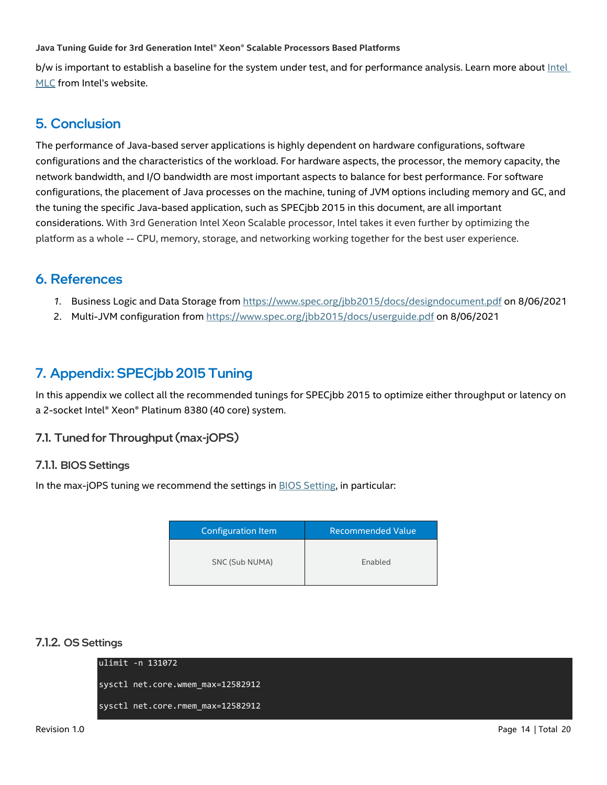b/w is important to establish a baseline for the system under test, and for performance analysis. Learn more about [Intel](https://software.intel.com/content/www/us/en/develop/articles/intelr-memory-latency-checker.html)  [MLC](https://software.intel.com/content/www/us/en/develop/articles/intelr-memory-latency-checker.html) from Intel's website.

## <span id="page-13-0"></span>5. Conclusion

The performance of Java-based server applications is highly dependent on hardware configurations, software configurations and the characteristics of the workload. For hardware aspects, the processor, the memory capacity, the network bandwidth, and I/O bandwidth are most important aspects to balance for best performance. For software configurations, the placement of Java processes on the machine, tuning of JVM options including memory and GC, and the tuning the specific Java-based application, such as SPECjbb 2015 in this document, are all important considerations. With 3rd Generation Intel Xeon Scalable processor, Intel takes it even further by optimizing the platform as a whole -- CPU, memory, storage, and networking working together for the best user experience.

## <span id="page-13-1"></span>6. References

- *1.* Business Logic and Data Storage from<https://www.spec.org/jbb2015/docs/designdocument.pdf> on 8/06/2021
- 2. Multi-JVM configuration from<https://www.spec.org/jbb2015/docs/userguide.pdf> on 8/06/2021

# <span id="page-13-2"></span>7. Appendix: SPECjbb 2015 Tuning

In this appendix we collect all the recommended tunings for SPECjbb 2015 to optimize either throughput or latency on a 2-socket Intel® Xeon® Platinum 8380 (40 core) system.

#### <span id="page-13-3"></span>7.1. Tuned for Throughput (max-jOPS)

#### 7.1.1. BIOS Settings

In the max-jOPS tuning we recommend the settings i[n BIOS Setting,](https://www.intel.com/content/www/us/en/support/articles/000058939/server-products/single-node-servers.html) in particular:

| Configuration Item | <b>Recommended Value</b> |
|--------------------|--------------------------|
| SNC (Sub NUMA)     | Enabled                  |

#### 7.1.2. OS Settings

ulimit -n 131072 sysctl net.core.wmem\_max=12582912 sysctl net.core.rmem\_max=12582912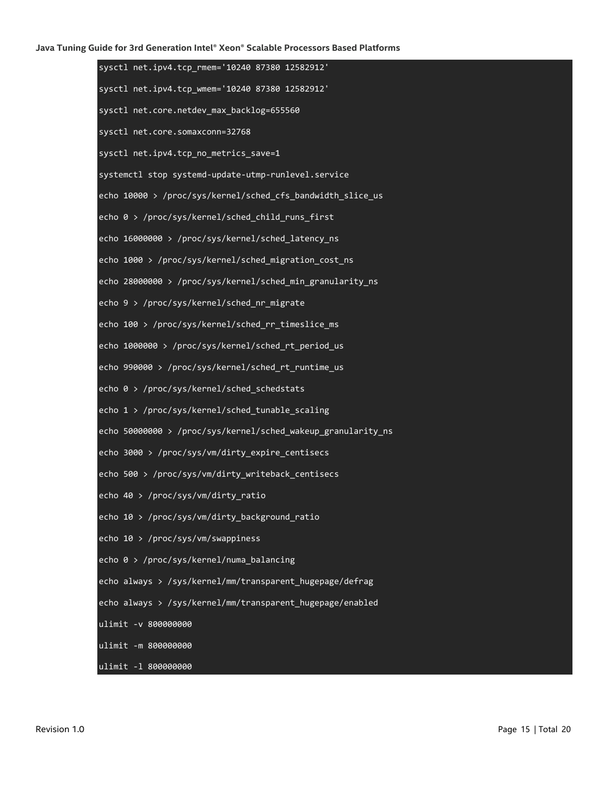| sysctl net.ipv4.tcp_rmem='10240 87380 12582912'              |
|--------------------------------------------------------------|
| sysctl net.ipv4.tcp_wmem='10240 87380 12582912'              |
| sysctl net.core.netdev_max_backlog=655560                    |
| sysctl net.core.somaxconn=32768                              |
| sysctl net.ipv4.tcp_no_metrics_save=1                        |
| systemctl stop systemd-update-utmp-runlevel.service          |
| echo 10000 > /proc/sys/kernel/sched_cfs_bandwidth_slice_us   |
| echo 0 > /proc/sys/kernel/sched_child_runs_first             |
| echo 16000000 > /proc/sys/kernel/sched_latency_ns            |
| echo 1000 > /proc/sys/kernel/sched_migration_cost_ns         |
| echo 28000000 > /proc/sys/kernel/sched_min_granularity_ns    |
| echo 9 > /proc/sys/kernel/sched_nr_migrate                   |
| echo 100 > /proc/sys/kernel/sched_rr_timeslice_ms            |
| echo 1000000 > /proc/sys/kernel/sched_rt_period_us           |
| echo 990000 > /proc/sys/kernel/sched_rt_runtime_us           |
| echo 0 > /proc/sys/kernel/sched_schedstats                   |
| echo 1 > /proc/sys/kernel/sched_tunable_scaling              |
| echo 50000000 > /proc/sys/kernel/sched_wakeup_granularity_ns |
| echo 3000 > /proc/sys/vm/dirty_expire_centisecs              |
| echo 500 > /proc/sys/vm/dirty_writeback_centisecs            |
| echo 40 > /proc/sys/vm/dirty_ratio                           |
| echo 10 > /proc/sys/vm/dirty_background_ratio                |
| echo 10 > /proc/sys/vm/swappiness                            |
| echo 0 > /proc/sys/kernel/numa_balancing                     |
| echo always > /sys/kernel/mm/transparent_hugepage/defrag     |
| echo always > /sys/kernel/mm/transparent_hugepage/enabled    |
| ulimit -v 800000000                                          |
| ulimit - m 800000000                                         |
| ulimit -1 800000000                                          |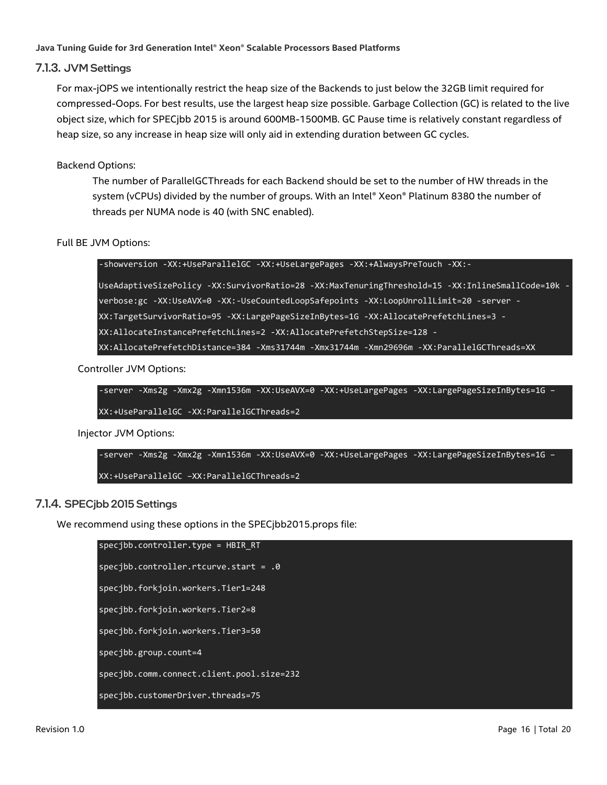#### 7.1.3. JVM Settings

For max-jOPS we intentionally restrict the heap size of the Backends to just below the 32GB limit required for compressed-Oops. For best results, use the largest heap size possible. Garbage Collection (GC) is related to the live object size, which for SPECjbb 2015 is around 600MB-1500MB. GC Pause time is relatively constant regardless of heap size, so any increase in heap size will only aid in extending duration between GC cycles.

#### Backend Options:

The number of ParallelGCThreads for each Backend should be set to the number of HW threads in the system (vCPUs) divided by the number of groups. With an Intel® Xeon® Platinum 8380 the number of threads per NUMA node is 40 (with SNC enabled).

Full BE JVM Options:

-showversion -XX:+UseParallelGC -XX:+UseLargePages -XX:+AlwaysPreTouch -XX:-

UseAdaptiveSizePolicy -XX:SurvivorRatio=28 -XX:MaxTenuringThreshold=15 -XX:InlineSmallCode=10k verbose:gc -XX:UseAVX=0 -XX:-UseCountedLoopSafepoints -XX:LoopUnrollLimit=20 -server - XX:TargetSurvivorRatio=95 -XX:LargePageSizeInBytes=1G -XX:AllocatePrefetchLines=3 - XX:AllocateInstancePrefetchLines=2 -XX:AllocatePrefetchStepSize=128 - XX:AllocatePrefetchDistance=384 -Xms31744m -Xmx31744m -Xmn29696m -XX:ParallelGCThreads=XX

Controller JVM Options:

-server -Xms2g -Xmx2g -Xmn1536m -XX:UseAVX=0 -XX:+UseLargePages -XX:LargePageSizeInBytes=1G – XX:+UseParallelGC -XX:ParallelGCThreads=2

Injector JVM Options:

-server -Xms2g -Xmx2g -Xmn1536m -XX:UseAVX=0 -XX:+UseLargePages -XX:LargePageSizeInBytes=1G – XX:+UseParallelGC –XX:ParallelGCThreads=2

#### 7.1.4. SPECjbb 2015 Settings

We recommend using these options in the SPECjbb2015.props file:

specjbb.controller.type = HBIR\_RT specjbb.controller.rtcurve.start = .0 specjbb.forkjoin.workers.Tier1=248 specjbb.forkjoin.workers.Tier2=8 specjbb.forkjoin.workers.Tier3=50 specjbb.group.count=4 specjbb.comm.connect.client.pool.size=232 specjbb.customerDriver.threads=75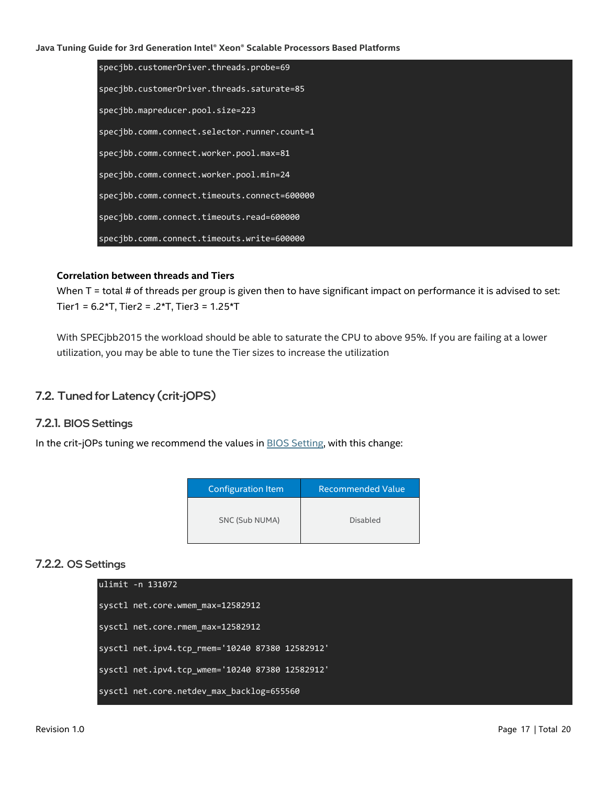specjbb.customerDriver.threads.probe=69 specjbb.customerDriver.threads.saturate=85 specjbb.mapreducer.pool.size=223 specjbb.comm.connect.selector.runner.count=1 specjbb.comm.connect.worker.pool.max=81 specjbb.comm.connect.worker.pool.min=24 specjbb.comm.connect.timeouts.connect=600000 specjbb.comm.connect.timeouts.read=600000 specjbb.comm.connect.timeouts.write=600000

#### **Correlation between threads and Tiers**

When T = total # of threads per group is given then to have significant impact on performance it is advised to set: Tier1 = 6.2\*T, Tier2 = .2\*T, Tier3 = 1.25\*T

With SPECjbb2015 the workload should be able to saturate the CPU to above 95%. If you are failing at a lower utilization, you may be able to tune the Tier sizes to increase the utilization

#### <span id="page-16-0"></span>7.2. Tuned for Latency (crit-jOPS)

#### 7.2.1. BIOS Settings

In the crit-jOPs tuning we recommend the values in **BIOS Setting**, with this change:

| Configuration Item | <b>Recommended Value</b> |
|--------------------|--------------------------|
| SNC (Sub NUMA)     | Disabled                 |

#### 7.2.2. OS Settings

| lulimit -n 131072 |                                                 |
|-------------------|-------------------------------------------------|
|                   | sysctl net.core.wmem max=12582912               |
|                   | sysctl net.core.rmem max=12582912               |
|                   | sysctl net.ipv4.tcp rmem='10240 87380 12582912' |
|                   | sysctl net.ipv4.tcp_wmem='10240 87380 12582912' |
|                   | sysctl net.core.netdev max backlog=655560       |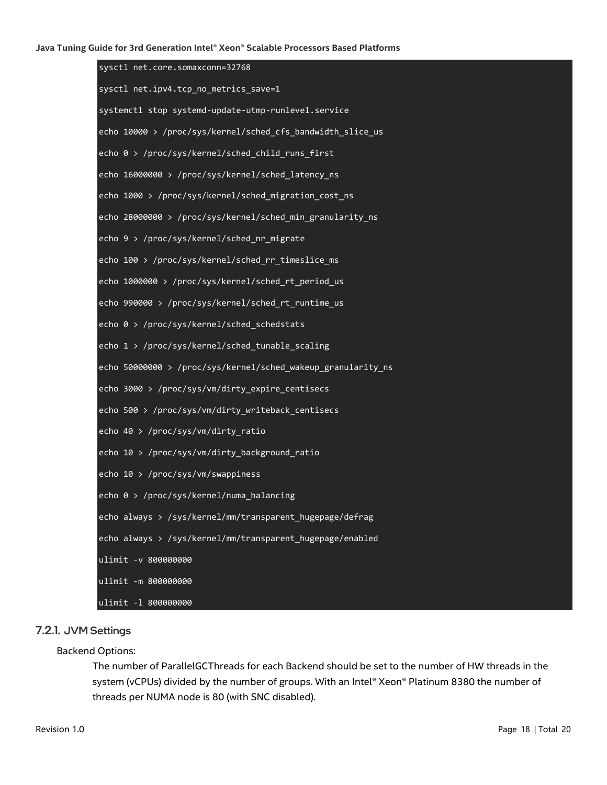| sysctl net.core.somaxconn=32768                              |
|--------------------------------------------------------------|
| sysctl net.ipv4.tcp_no_metrics_save=1                        |
| systemctl stop systemd-update-utmp-runlevel.service          |
| echo 10000 > /proc/sys/kernel/sched_cfs_bandwidth_slice_us   |
| echo 0 > /proc/sys/kernel/sched_child_runs_first             |
| echo 16000000 > /proc/sys/kernel/sched_latency_ns            |
| echo 1000 > /proc/sys/kernel/sched_migration_cost_ns         |
| echo 28000000 > /proc/sys/kernel/sched_min_granularity_ns    |
| echo 9 > /proc/sys/kernel/sched_nr_migrate                   |
| echo 100 > /proc/sys/kernel/sched_rr_timeslice_ms            |
| echo 1000000 > /proc/sys/kernel/sched_rt_period_us           |
| echo 990000 > /proc/sys/kernel/sched_rt_runtime_us           |
| echo 0 > /proc/sys/kernel/sched_schedstats                   |
| echo 1 > /proc/sys/kernel/sched_tunable_scaling              |
| echo 50000000 > /proc/sys/kernel/sched_wakeup_granularity_ns |
| echo 3000 > /proc/sys/vm/dirty_expire_centisecs              |
| echo 500 > /proc/sys/vm/dirty_writeback_centisecs            |
| echo 40 > /proc/sys/vm/dirty_ratio                           |
| echo 10 > /proc/sys/vm/dirty_background_ratio                |
| echo 10 > /proc/sys/vm/swappiness                            |
| echo $\overline{\theta}$ > /proc/sys/kernel/numa_balancing   |
| echo always > /sys/kernel/mm/transparent_hugepage/defrag     |
| echo always > /sys/kernel/mm/transparent hugepage/enabled    |
| ulimit -v 800000000                                          |
| ulimit - m 800000000                                         |
| ulimit -1 800000000                                          |

#### 7.2.1. JVM Settings

#### Backend Options:

The number of ParallelGCThreads for each Backend should be set to the number of HW threads in the system (vCPUs) divided by the number of groups. With an Intel® Xeon® Platinum 8380 the number of threads per NUMA node is 80 (with SNC disabled).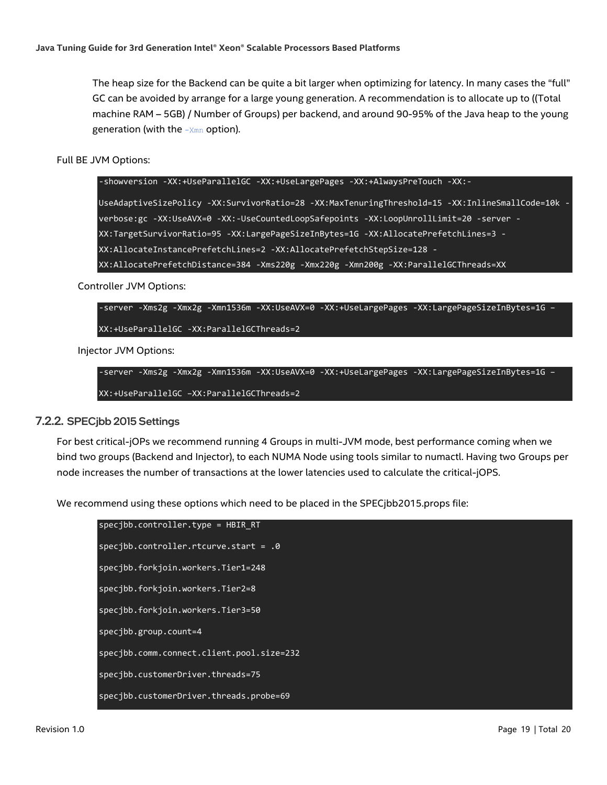The heap size for the Backend can be quite a bit larger when optimizing for latency. In many cases the "full" GC can be avoided by arrange for a large young generation. A recommendation is to allocate up to ((Total machine RAM – 5GB) / Number of Groups) per backend, and around 90-95% of the Java heap to the young generation (with the -Xmn option).

Full BE JVM Options:

-showversion -XX:+UseParallelGC -XX:+UseLargePages -XX:+AlwaysPreTouch -XX:-

UseAdaptiveSizePolicy -XX:SurvivorRatio=28 -XX:MaxTenuringThreshold=15 -XX:InlineSmallCode=10k verbose:gc -XX:UseAVX=0 -XX:-UseCountedLoopSafepoints -XX:LoopUnrollLimit=20 -server - XX:TargetSurvivorRatio=95 -XX:LargePageSizeInBytes=1G -XX:AllocatePrefetchLines=3 - XX:AllocateInstancePrefetchLines=2 -XX:AllocatePrefetchStepSize=128 - XX:AllocatePrefetchDistance=384 -Xms220g -Xmx220g -Xmn200g -XX:ParallelGCThreads=XX

Controller JVM Options:

-server -Xms2g -Xmx2g -Xmn1536m -XX:UseAVX=0 -XX:+UseLargePages -XX:LargePageSizeInBytes=1G – XX:+UseParallelGC -XX:ParallelGCThreads=2

Injector JVM Options:

-server -Xms2g -Xmx2g -Xmn1536m -XX:UseAVX=0 -XX:+UseLargePages -XX:LargePageSizeInBytes=1G – XX:+UseParallelGC –XX:ParallelGCThreads=2

#### 7.2.2. SPECjbb 2015 Settings

For best critical-jOPs we recommend running 4 Groups in multi-JVM mode, best performance coming when we bind two groups (Backend and Injector), to each NUMA Node using tools similar to numactl. Having two Groups per node increases the number of transactions at the lower latencies used to calculate the critical-jOPS.

We recommend using these options which need to be placed in the SPECjbb2015.props file:

| specjbb.controller.type = HBIR RT         |
|-------------------------------------------|
| specjbb.controller.rtcurve.start = $.0$   |
| specjbb.forkjoin.workers.Tier1=248        |
| specjbb.forkjoin.workers.Tier2=8          |
| specjbb.forkjoin.workers.Tier3=50         |
| $spec1bbs$ group.count=4                  |
| specibb.comm.connect.client.pool.size=232 |
| specjbb.customerDriver.threads=75         |
| specjbb.customerDriver.threads.probe=69   |